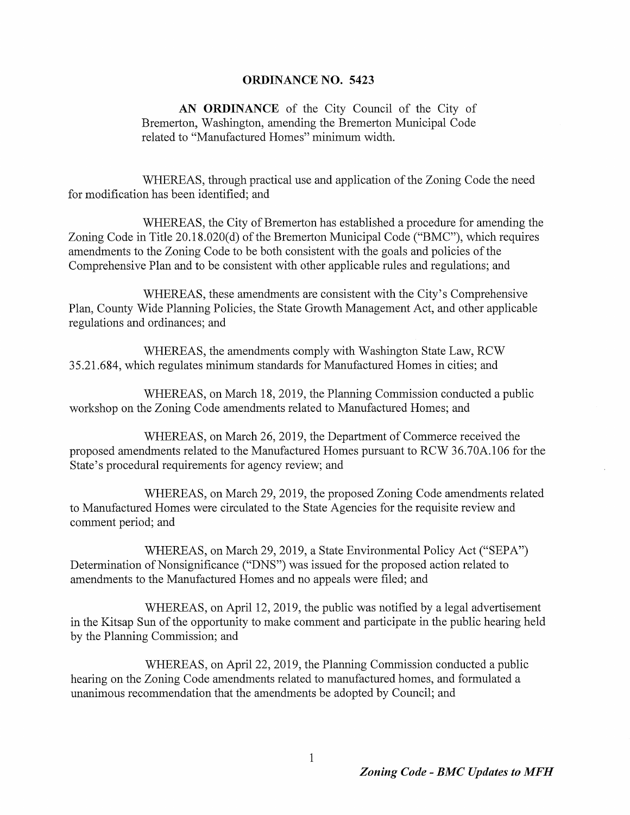#### ORDINANCE NO. 5423 hearth on the Zoning on the Zoning Control Control Control Control Control Control Control Control Control Control Control Control Control Control Control Control Control Control Control Control Control Control Control Con  $U$ undation that the amendments by  $C$

AN ORDINANCE of the City Council of the City of Bremerton, Washington, amending the Bremerton Municipal Code related to "Manufactured Homes" minimum width.

WHEREAS, through practical use and application of the Zoning Code the need for modification has been identified; and

WHEREAS, the City of Bremerton has established a procedure for amending the Zoning Code in Title 20.18.020(d) of the Bremerton Municipal Code ("BMC"), which requires amendments to the Zoning Code to be both consistent with the goals and policies of the Comprehensive Plan and to be consistent with other applicable rules and regulations; and

WHEREAS, these amendments are consistent with the City's Comprehensive Plan, County Wide Planning Policies, the State Growth Management Act, and other applicable regulations and ordinances; and

WHEREAS, on March 26, 2019, the Department of Commerce received the proposed amendments related to the Manufactured Homes pursuant to RCW 36.70A.106 for the State's procedural requirements for agency review; and

WHEREAS, the amendments comply with Washington State Law, RCW 35, 21, 684, which regulates minimum standards for Manufactured Homes in cities; and

WHEREAS, on March 18, 2019, the Planning Commission conducted a public workshop on the Zoning Code amendments related to Manufactured Homes; and

WHEREAS, on March 29, 2019, the proposed Zoning Code amendments related to Manufactured Homes were circulated to the State Agencies for the requisite review and comment period, and

WHEREAS, on March 29, 2019, a State Environmental Policy Act ("SEPA") Determination of Nonsignificance ("DNS") was issued for the proposed action related to amendments to the Manufactured Homes and no appeals were filed; and

WHEREAS, on April 12, 2019, the public was notified by a legal advertisement<br>in the Kitsap Sun of the opportunity to make comment and participate in the public hearing held by the Planning Commission; and

WHEREAS, on April 22, 2019, the Planning Commission conducted a public hearing on the Zoning Code amendments related to manufactured homes, and formulated a unanimous recommendation that the amendments be adopted by Council; and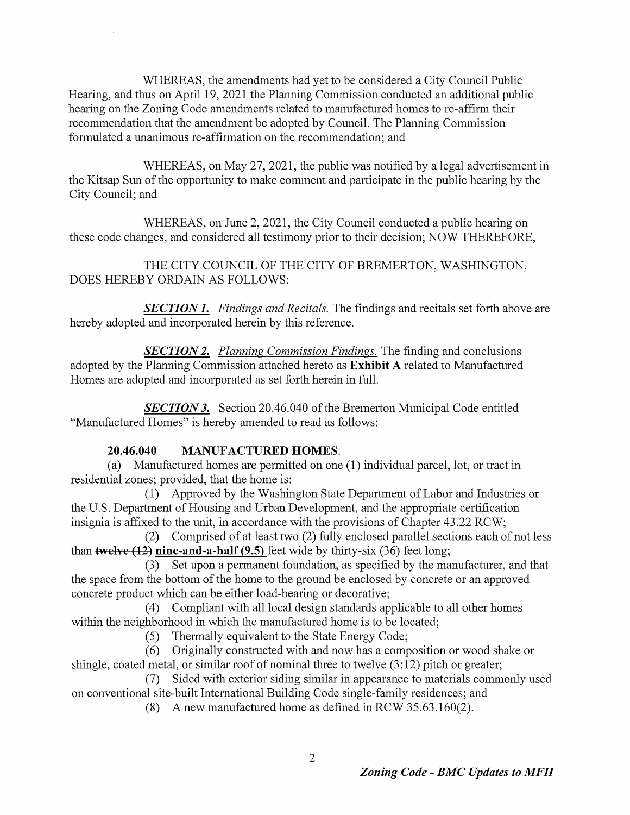WHEREAS, the amendments had yet to be considered a City Council Public Hearing, and thus on April 19, 2021 the Planning Commission conducted an additional public hearing on the Zoning Code amendments related to manufactured homes to re-affirm their recommendation that the amendment be adopted by Council. The Planning Commission formulated a unanimous re -affirmation on the recommendation; and  $T_{\text{H}}$   $\Gamma$   $\Lambda$   $\alpha$  the emendments hed vet to he considered a City Council Dublic on conventional site of the american site of the building constant a City Codition.<br>Joering and thus an April 10 2021 the Dlenning Commission conducted on addition  $\frac{800 \text{ April 19, } 2021 \text{ the Fiaming commission concucl (a)} \cdot \frac{800 \text{ April 19, } 2021 \text{ The Fiaming Commission (b)} \cdot \frac{1}{2}$ 

WHEREAS, on May 27, 2021, the public was notified by a legal advertisement in the Kitsap Sun of the opportunity to make comment and participate in the public hearing by the City Council; and

**SECTION 1.** Findings and Recitals. The findings and recitals set forth above are hereby adopted and incorporated herein by this reference.

**SECTION 2.** Planning Commission Findings. The finding and conclusions adopted by the Planning Commission attached hereto as Exhibit A related to Manufactured Homes are adopted and incorporated as set forth herein in full.

**SECTION 3.** Section 20.46.040 of the Bremerton Municipal Code entitled Manufactured Homes" is hereby amended to read as follows:

WHEREAS, on June 2, 2021, the City Council conducted a public hearing on these code changes, and considered all testimony prior to their decision; NOW THEREFORE,

1) Approved by the Washington State Department of Labor and Industries or the U.S. Department of Housing and Urban Development, and the appropriate certification insignia is affixed to the unit, in accordance with the provisions of Chapter 43. 22 RCW; 2) Comprised of at least two (2) fully enclosed parallel sections each of not less than twelve  $(12)$  nine-and-a-half  $(9.5)$  feet wide by thirty-six  $(36)$  feet long;

## THE CITY COUNCIL OF THE CITY OF BREMERTON, WASHINGTON, DOES HEREBY ORDAIN AS FOLLOWS.

3) Set upon a permanent foundation, as specified by the manufacturer, and that the space from the bottom of the home to the ground be enclosed by concrete or an approved concrete product which can be either load-bearing or decorative;

## 20.46.040 MANUFACTURED HOMES.

a) Manufactured homes are permitted on one (  $\bm{1}$  ) individual parcel, lot, or tract in residential zones, provided, that the home is:

4) Compliant with all local design standards applicable to all other homes

within the neighborhood in which the manufactured home is to be located;

Thermally equivalent to the State Energy Code;  $(5)$ 

Originally constructed with and now has a composition or wood shake or  $(6)$ shingle, coated metal, or similar roof of nominal three to twelve (3:12) pitch or greater;

Sided with exterior siding similar in appearance to materials commonly used on conventional site-built International Building Code single-family residences; and A new manufactured home as defined in RCW 35.63.160(2).  $(8)$ 

 $\overline{2}$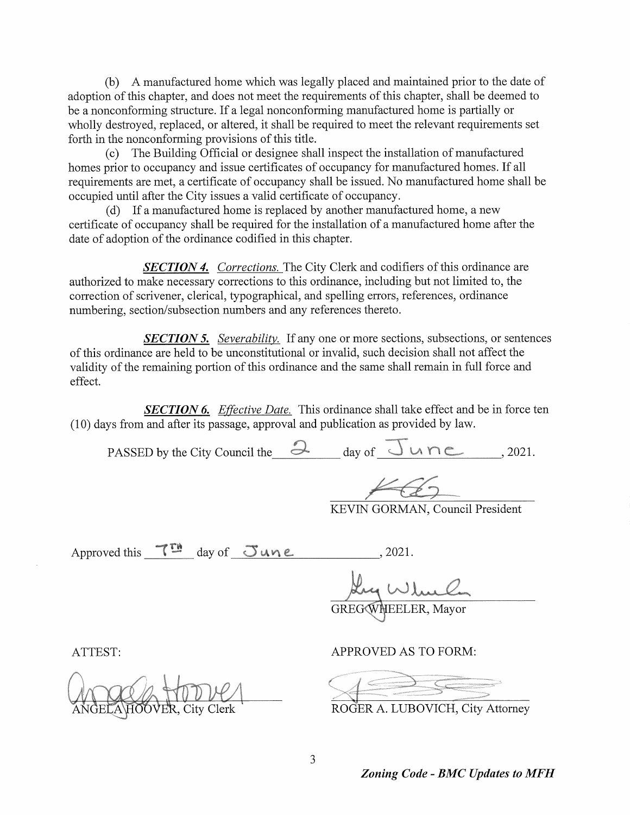b) A manufactured home which was legally placed and maintained prior to the date of adoption of this chapter, and does not meet the requirements of this chapter, shall be deemed to be <sup>a</sup> nonconforming structure. If <sup>a</sup> legal nonconforming manufactured home is partially or wholly destroyed, replaced, or altered, it shall be required to meet the relevant requirements set Forth in the nonconforming provisions of this title. radication of this chapter, stian de accured

c) The Building Official or designee shall inspect the installation of manufactured homes prior to occupancy and issue certificates of occupancy for manufactured homes. If all requirements are met, a certificate of occupancy shall be issued. No manufactured home shall be occupied until after the City issues a valid certificate of occupancy. cy for manufactured homes. If all

SECTION 5. Severability. If any one or more sections, subsections, or sentences ofthis ordinance are held to be unconstitutional or invalid, such decision shall not affect the validity of the remaining portion of this ordinance and the same shall remain in full force and effect.

d) If <sup>a</sup> manufactured home is replaced by another manufactured home, a new certificate of occupancy shall be required for the installation of <sup>a</sup> manufactured home after the date of adoption of the ordinance codified in this chapter.

SECTION 4. Corrections. The City Clerk and codifiers of this ordinance are authorized to make necessary corrections to this ordinance, including but not limited to, the correction of scrivener, clerical, typographical, and spelling errors, references, ordinance numbering, section/subsection numbers and any references thereto.

**SECTION 6.** Effective Date. This ordinance shall take effect and be in force ten 10) days from and after its passage, approval and publication as provided by law.

PASSED by the City Council the  $\partial$  day of  $\overline{\cup}$  whe (2021.

KEVIN GORMAN, Council President

Approved this  $T^{m}$  day of  $S$ une  $2021.$ GREGQ/HEELER, Mayor





#### APPROVED AS TO FORM:

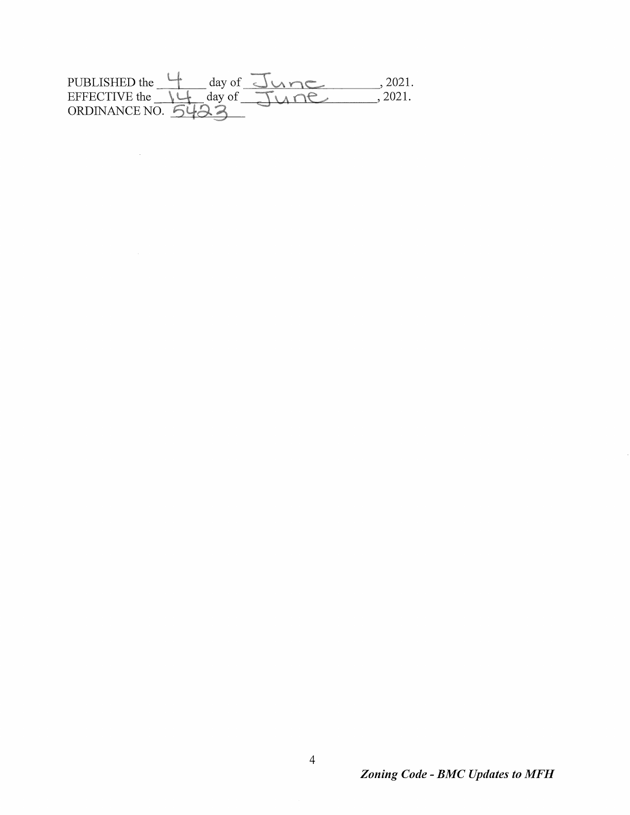#### PUBLISHED the day of Charge 2021.  $\frac{1}{\sqrt{2}} \frac{1}{\sqrt{2}}$ <u>sta province politik (</u>provi<del>nce)</del><br>Santa province politik (province politik (province politik) 2021. a a<sup>gaman</sup>anyi.<br>Santa <sup>aka</sup>

 $\mathcal{L}_{\text{max}}$  and  $\mathcal{L}_{\text{max}}$ 

#### $\overline{4}$

 $\alpha$  ,  $\alpha$  ,  $\alpha$  ,  $\alpha$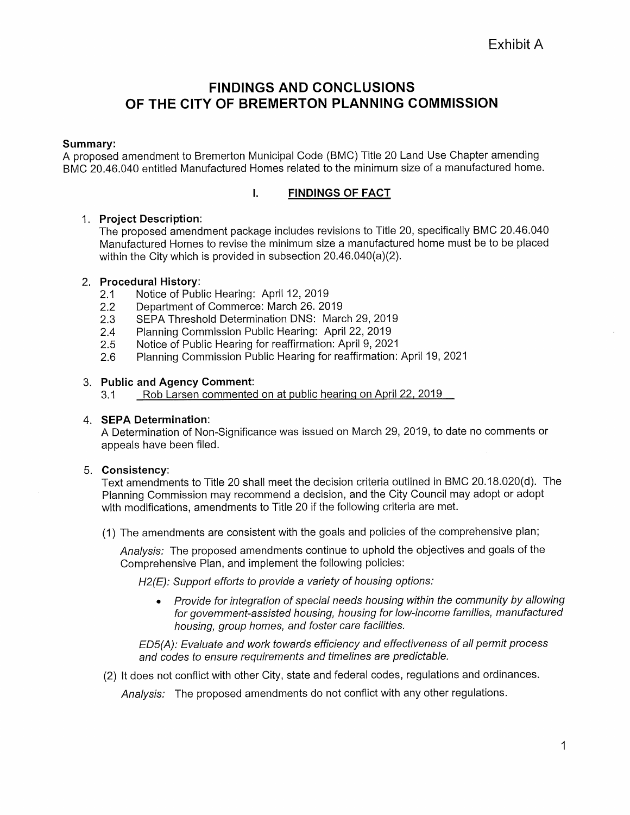# FINDINGS AND CONCLUSIONS OF THE CITY OF BREMERTON PLANNING COMMISSION

#### Summary:

The proposed amendment package includes revisions to Title 20, specifically BMC 20.46.040 Manufactured Homes to revise the minimum size a manufactured home must be to be placed within the City which is provided in subsection 20.46.040(a)(2).

A proposed amendment to Bremerton Municipal Code ( BMC) Title 20 Land Use Chapter amending BMC 20.46.040 entitled Manufactured Homes related to the minimum size of a manufactured home.



#### 1. Project Description:

### 2. Procedural History:

- 2.1 Notice of Public Hearing: April 12, 2019
- 2. 2 Department of Commerce: March 26. 2019
- 2.3 SEPA Threshold Determination DNS: March 29, 2019
- 2.4 Planning Commission Public Hearing: April 22, 2019
- 2.5 Notice of Public Hearing for reaffirmation: April 9, 2021
- 2. 6 Planning Commission Public Hearing for reaffirmation: April 19, 2021
- 3. Public and Agency Comment:
	- 3.1 Rob Larsen commented on at public hearing on April 22, 2019

A Determination of Non-Significance was issued on March 29, 2019, to date no comments or appeals have been filed.

Text amendments to Title 20 shall meet the decision criteria outlined in BMC 20.18.020(d). The Planning Commission may recommend a decision, and the City Council may adopt or adopt with modifications, amendments to Title 20 if the following criteria are met.

Analysis: The proposed amendments continue to uphold the objectives and goals of the Comprehensive Plan, and implement the following policies:

H2(E): Support efforts to provide a variety of housing options:

Provide for integration of special needs housing within the community by allowing<br>for government-assisted housing, housing for low-income families, manufactured  $\begin{array}{c} \bullet \\ \bullet \end{array}$ 

housing, group homes, and foster care facilities.

ED5(A): Evaluate and work towards efficiency and effectiveness of all permit process and codes to ensure requirements and timelines are predictable.

(2) It does not conflict with other City, state and federal codes, regulations and ordinances.

Analysis: The proposed amendments do not conflict with any other regulations.



#### 4. SEPA Determination:

#### 5. Consistency:

1) The amendments are consistent with the goals and policies of the comprehensive plan;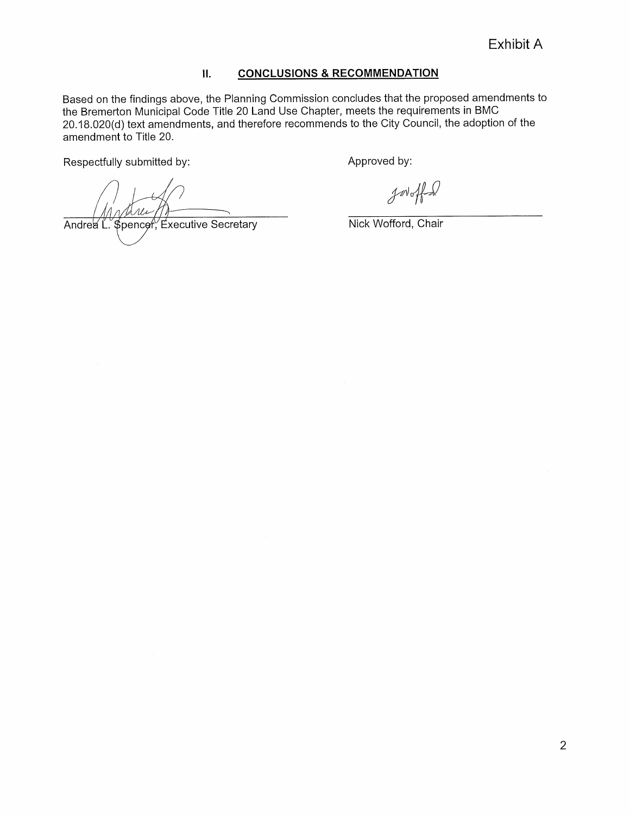## Exhibit A

### II. CONCLUSIONS & RECOMMENDATION

Based on the findings above, the Planning Commission concludes that the proposed amendments to the Bremerton Municipal Code Title 20 Land Use Chapter, meets the requirements in BMC 20. 18. 020(d) text amendments, and therefore recommends to the City Council, the adoption of the amendment to Title 20.

Respectfully submitted by:



Approved by:

 $\n *int*  $\sqrt{\frac{1}{1-\frac{1}{1-\frac{1}{1-\frac{1}{1-\frac{1}{1-\frac{1}{1-\frac{1}{1-\frac{1}{1-\frac{1}{1-\frac{1}{1-\frac{1}{1-\frac{1}{1-\frac{1}{1-\frac{1}{1-\frac{1}{1-\frac{1}{1-\frac{1}{1-\frac{1}{1-\frac{1}{1-\frac{1}{1-\frac{1}{1-\frac{1}{1-\frac{1}{1-\frac{1}{1-\frac{1}{1-\frac{1}{1-\frac{1}{1-\frac{1}{1-\frac{1}{1-\frac{1}{1-\frac{1}{1-\frac{1}{1-\frac{1}{1-\frac{1}{1-\frac{$$ 

the contract of the contract of the contract of the contract of the contract of the contract of the

Nick Wofford, Chair

the contract of the contract of the contract of the contract of the contract of the contract of the contract of

and the state of the state of the state of the state of the state of the state of the state of the state of th

the contract of the contract of the contract of the contract of